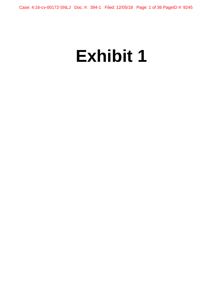# **Exhibit 1**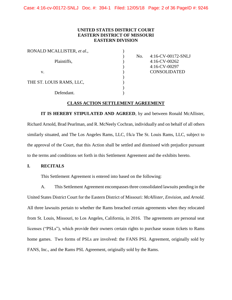Case: 4:16-cv-00172-SNLJ Doc. #: 394-1 Filed: 12/05/18 Page: 2 of 36 PageID #: 9246

## **UNITED STATES DISTRICT COURT EASTERN DISTRICT OF MISSOURI EASTERN DIVISION**

| No. | 4:16-CV-00172-SNLJ  |
|-----|---------------------|
|     | $4:16$ -CV-00262    |
|     | 4:16-CV-00297       |
|     | <b>CONSOLIDATED</b> |
|     |                     |
|     |                     |
|     |                     |
|     |                     |
|     |                     |

#### **CLASS ACTION SETTLEMENT AGREEMENT**

**IT IS HEREBY STIPULATED AND AGREED**, by and between Ronald McAllister, Richard Arnold, Brad Pearlman, and R. McNeely Cochran, individually and on behalf of all others similarly situated, and The Los Angeles Rams, LLC, f/k/a The St. Louis Rams, LLC, subject to the approval of the Court, that this Action shall be settled and dismissed with prejudice pursuant to the terms and conditions set forth in this Settlement Agreement and the exhibits hereto.

#### **I. RECITALS**

This Settlement Agreement is entered into based on the following:

A. This Settlement Agreement encompasses three consolidated lawsuits pending in the United States District Court for the Eastern District of Missouri: *McAllister*, *Envision*, and *Arnold*. All three lawsuits pertain to whether the Rams breached certain agreements when they relocated from St. Louis, Missouri, to Los Angeles, California, in 2016. The agreements are personal seat licenses ("PSLs"), which provide their owners certain rights to purchase season tickets to Rams home games. Two forms of PSLs are involved: the FANS PSL Agreement, originally sold by FANS, Inc., and the Rams PSL Agreement, originally sold by the Rams.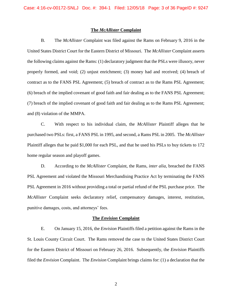#### **The** *McAllister* **Complaint**

B. The *McAllister* Complaint was filed against the Rams on February 9, 2016 in the United States District Court for the Eastern District of Missouri. The *McAllister* Complaint asserts the following claims against the Rams: (1) declaratory judgment that the PSLs were illusory, never properly formed, and void; (2) unjust enrichment; (3) money had and received; (4) breach of contract as to the FANS PSL Agreement; (5) breach of contract as to the Rams PSL Agreement; (6) breach of the implied covenant of good faith and fair dealing as to the FANS PSL Agreement; (7) breach of the implied covenant of good faith and fair dealing as to the Rams PSL Agreement; and (8) violation of the MMPA.

C. With respect to his individual claim, the *McAllister* Plaintiff alleges that he purchased two PSLs: first, a FANS PSL in 1995, and second, a Rams PSL in 2005. The *McAllister* Plaintiff alleges that he paid \$1,000 for each PSL, and that he used his PSLs to buy tickets to 172 home regular season and playoff games.

D. According to the *McAllister* Complaint, the Rams, *inter alia*, breached the FANS PSL Agreement and violated the Missouri Merchandising Practice Act by terminating the FANS PSL Agreement in 2016 without providing a total or partial refund of the PSL purchase price. The *McAllister* Complaint seeks declaratory relief, compensatory damages, interest, restitution, punitive damages, costs, and attorneys' fees.

#### **The** *Envision* **Complaint**

E. On January 15, 2016, the *Envision* Plaintiffs filed a petition against the Rams in the St. Louis County Circuit Court. The Rams removed the case to the United States District Court for the Eastern District of Missouri on February 26, 2016. Subsequently, the *Envision* Plaintiffs filed the *Envision* Complaint. The *Envision* Complaint brings claims for: (1) a declaration that the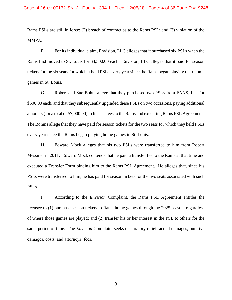Rams PSLs are still in force; (2) breach of contract as to the Rams PSL; and (3) violation of the MMPA.

F. For its individual claim, Envision, LLC alleges that it purchased six PSLs when the Rams first moved to St. Louis for \$4,500.00 each. Envision, LLC alleges that it paid for season tickets for the six seats for which it held PSLs every year since the Rams began playing their home games in St. Louis.

G. Robert and Sue Bohm allege that they purchased two PSLs from FANS, Inc. for \$500.00 each, and that they subsequently upgraded these PSLs on two occasions, paying additional amounts (for a total of \$7,000.00) in license fees to the Rams and executing Rams PSL Agreements. The Bohms allege that they have paid for season tickets for the two seats for which they held PSLs every year since the Rams began playing home games in St. Louis.

H. Edward Mock alleges that his two PSLs were transferred to him from Robert Messmer in 2011. Edward Mock contends that he paid a transfer fee to the Rams at that time and executed a Transfer Form binding him to the Rams PSL Agreement. He alleges that, since his PSLs were transferred to him, he has paid for season tickets for the two seats associated with such PSLs.

I. According to the *Envision* Complaint, the Rams PSL Agreement entitles the licensee to (1) purchase season tickets to Rams home games through the 2025 season, regardless of where those games are played; and (2) transfer his or her interest in the PSL to others for the same period of time. The *Envision* Complaint seeks declaratory relief, actual damages, punitive damages, costs, and attorneys' fees.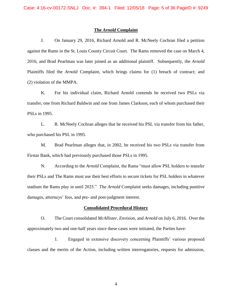#### **The** *Arnold* **Complaint**

J. On January 29, 2016, Richard Arnold and R. McNeely Cochran filed a petition against the Rams in the St. Louis County Circuit Court. The Rams removed the case on March 4, 2016, and Brad Pearlman was later joined as an additional plaintiff. Subsequently, the *Arnold*  Plaintiffs filed the *Arnold* Complaint, which brings claims for (1) breach of contract; and (2) violation of the MMPA.

K. For his individual claim, Richard Arnold contends he received two PSLs via transfer, one from Richard Baldwin and one from James Clarkson, each of whom purchased their PSLs in 1995.

L. R. McNeely Cochran alleges that he received his PSL via transfer from his father, who purchased his PSL in 1995.

M. Brad Pearlman alleges that, in 2002, he received his two PSLs via transfer from Firstar Bank, which had previously purchased those PSLs in 1995.

N. According to the *Arnold* Complaint, the Rams "must allow PSL holders to transfer their PSLs and The Rams must use their best efforts to secure tickets for PSL holders in whatever stadium the Rams play in until 2025." The *Arnold* Complaint seeks damages, including punitive damages, attorneys' fees, and pre- and post-judgment interest.

#### **Consolidated Procedural History**

O. The Court consolidated *McAllister*, *Envision*, and *Arnold* on July 6, 2016. Over the approximately two and one-half years since these cases were initiated, the Parties have:

1. Engaged in extensive discovery concerning Plaintiffs' various proposed classes and the merits of the Action, including written interrogatories, requests for admission,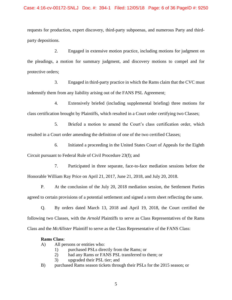requests for production, expert discovery, third-party subpoenas, and numerous Party and thirdparty depositions.

2. Engaged in extensive motion practice, including motions for judgment on the pleadings, a motion for summary judgment, and discovery motions to compel and for protective orders;

3. Engaged in third-party practice in which the Rams claim that the CVC must indemnify them from any liability arising out of the FANS PSL Agreement;

4. Extensively briefed (including supplemental briefing) three motions for class certification brought by Plaintiffs, which resulted in a Court order certifying two Classes;

5. Briefed a motion to amend the Court's class certification order, which resulted in a Court order amending the definition of one of the two certified Classes;

6. Initiated a proceeding in the United States Court of Appeals for the Eighth Circuit pursuant to Federal Rule of Civil Procedure 23(f); and

7. Participated in three separate, face-to-face mediation sessions before the Honorable William Ray Price on April 21, 2017, June 21, 2018, and July 20, 2018.

P. At the conclusion of the July 20, 2018 mediation session, the Settlement Parties agreed to certain provisions of a potential settlement and signed a term sheet reflecting the same.

Q. By orders dated March 13, 2018 and April 19, 2018, the Court certified the following two Classes, with the *Arnold* Plaintiffs to serve as Class Representatives of the Rams Class and the *McAllister* Plaintiff to serve as the Class Representative of the FANS Class:

## **Rams Class**:

A) All persons or entities who:

- 1) purchased PSLs directly from the Rams; or
- 2) had any Rams or FANS PSL transferred to them; or
- 3) upgraded their PSL tier; and
- B) purchased Rams season tickets through their PSLs for the 2015 season; or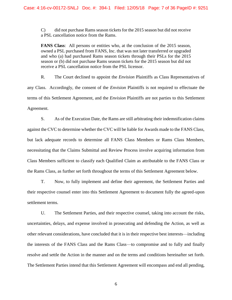C) did not purchase Rams season tickets for the 2015 season but did not receive a PSL cancellation notice from the Rams.

**FANS Class:** All persons or entities who, at the conclusion of the 2015 season, owned a PSL purchased from FANS, Inc. that was not later transferred or upgraded and who (a) had purchased Rams season tickets through their PSLs for the 2015 season or (b) did not purchase Rams season tickets for the 2015 season but did not receive a PSL cancellation notice from the PSL licensor.

R. The Court declined to appoint the *Envision* Plaintiffs as Class Representatives of any Class. Accordingly, the consent of the *Envision* Plaintiffs is not required to effectuate the terms of this Settlement Agreement, and the *Envision* Plaintiffs are not parties to this Settlement Agreement.

S. As of the Execution Date, the Rams are still arbitrating their indemnification claims against the CVC to determine whether the CVC will be liable for Awards made to the FANS Class, but lack adequate records to determine all FANS Class Members or Rams Class Members, necessitating that the Claims Submittal and Review Process involve acquiring information from Class Members sufficient to classify each Qualified Claim as attributable to the FANS Class or the Rams Class, as further set forth throughout the terms of this Settlement Agreement below.

T. Now, to fully implement and define their agreement, the Settlement Parties and their respective counsel enter into this Settlement Agreement to document fully the agreed-upon settlement terms.

U. The Settlement Parties, and their respective counsel, taking into account the risks, uncertainties, delays, and expense involved in prosecuting and defending the Action, as well as other relevant considerations, have concluded that it is in their respective best interests—including the interests of the FANS Class and the Rams Class—to compromise and to fully and finally resolve and settle the Action in the manner and on the terms and conditions hereinafter set forth. The Settlement Parties intend that this Settlement Agreement will encompass and end all pending,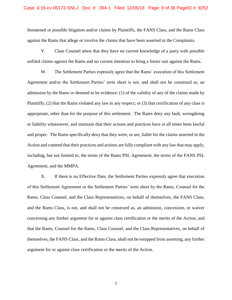threatened or possible litigation and/or claims by Plaintiffs, the FANS Class, and the Rams Class against the Rams that allege or involve the claims that have been asserted in the Complaints.

V. Class Counsel attest that they have no current knowledge of a party with possible unfiled claims against the Rams and no current intention to bring a future suit against the Rams.

W. The Settlement Parties expressly agree that the Rams' execution of this Settlement Agreement and/or the Settlement Parties' term sheet is not, and shall not be construed as, an admission by the Rams or deemed to be evidence: (1) of the validity of any of the claims made by Plaintiffs; (2) that the Rams violated any law in any respect; or (3) that certification of any class is appropriate, other than for the purpose of this settlement. The Rams deny any fault, wrongdoing or liability whatsoever, and maintain that their actions and practices have at all times been lawful and proper. The Rams specifically deny that they were, or are, liable for the claims asserted in the Action and contend that their practices and actions are fully compliant with any law that may apply, including, but not limited to, the terms of the Rams PSL Agreement, the terms of the FANS PSL Agreement, and the MMPA.

X. If there is no Effective Date, the Settlement Parties expressly agree that execution of this Settlement Agreement or the Settlement Parties' term sheet by the Rams, Counsel for the Rams, Class Counsel, and the Class Representatives, on behalf of themselves, the FANS Class, and the Rams Class, is not, and shall not be construed as, an admission, concession, or waiver concerning any further argument for or against class certification or the merits of the Action, and that the Rams, Counsel for the Rams, Class Counsel, and the Class Representatives, on behalf of themselves, the FANS Class, and the Rams Class, shall not be estopped from asserting, any further argument for or against class certification or the merits of the Action.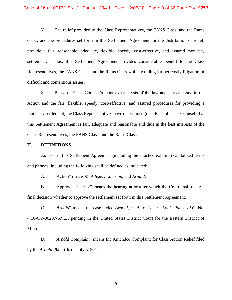Y. The relief provided to the Class Representatives, the FANS Class, and the Rams Class, and the procedures set forth in this Settlement Agreement for the distribution of relief, provide a fair, reasonable, adequate, flexible, speedy, cost-effective, and assured monetary settlement. Thus, this Settlement Agreement provides considerable benefit to the Class Representatives, the FANS Class, and the Rams Class while avoiding further costly litigation of difficult and contentious issues.

Z. Based on Class Counsel's extensive analysis of the law and facts at issue in the Action and the fair, flexible, speedy, cost-effective, and assured procedures for providing a monetary settlement, the Class Representatives have determined (on advice of Class Counsel) that this Settlement Agreement is fair, adequate and reasonable and thus in the best interests of the Class Representatives, the FANS Class, and the Rams Class.

#### **II. DEFINITIONS**

As used in this Settlement Agreement (including the attached exhibits) capitalized terms and phrases, including the following shall be defined as indicated:

A. "Action" means *McAllister*, *Envision*, and *Arnold*.

B. "Approval Hearing" means the hearing at or after which the Court shall make a final decision whether to approve the settlement set forth in this Settlement Agreement.

C. "*Arnold*" means the case styled *Arnold, et al., v. The St. Louis Rams, LLC*, No. 4:16-CV-00297-SNLJ, pending in the United States District Court for the Eastern District of Missouri.

D. "*Arnold* Complaint" means the Amended Complaint for Class Action Relief filed by the *Arnold* Plaintiffs on July 5, 2017.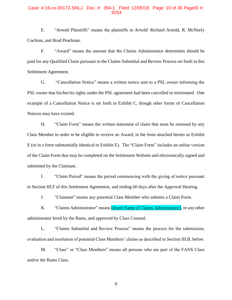#### Case: 4:16-cv-00172-SNLJ Doc. #: 394-1 Filed: 12/05/18 Page: 10 of 36 PageID #: 9254

E. "*Arnold* Plaintiffs" means the plaintiffs in *Arnold*: Richard Arnold, R. McNeely Cochran, and Brad Pearlman.

F. "Award" means the amount that the Claims Administrator determines should be paid for any Qualified Claim pursuant to the Claims Submittal and Review Process set forth in this Settlement Agreement.

G. "Cancellation Notice" means a written notice sent to a PSL owner informing the PSL owner that his/her/its rights under the PSL agreement had been cancelled or terminated. One example of a Cancellation Notice is set forth in Exhibit C, though other forms of Cancellation Notices may have existed.

H. "Claim Form" means the written statement of claim that must be returned by any Class Member in order to be eligible to receive an Award, in the form attached hereto as Exhibit E (or in a form substantially identical to Exhibit E). The "Claim Form" includes an online version of the Claim Form that may be completed on the Settlement Website and electronically signed and submitted by the Claimant.

I. "Claim Period" means the period commencing with the giving of notice pursuant to Section III.F of this Settlement Agreement, and ending 60 days after the Approval Hearing.

J. "Claimant" means any potential Class Member who submits a Claim Form.

K. "Claims Administrator" means **[Insert Name of Claims Administrator]**, or any other administrator hired by the Rams, and approved by Class Counsel.

L. "Claims Submittal and Review Process" means the process for the submission, evaluation and resolution of potential Class Members' claims as described in Section III.B, below.

M. "Class" or "Class Members" means all persons who are part of the FANS Class and/or the Rams Class.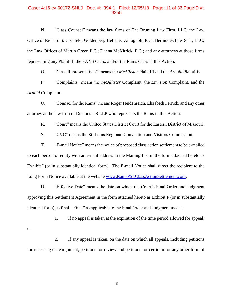#### Case: 4:16-cv-00172-SNLJ Doc. #: 394-1 Filed: 12/05/18 Page: 11 of 36 PageID #: 9255

N. "Class Counsel" means the law firms of The Bruning Law Firm, LLC; the Law Office of Richard S. Cornfeld; Goldenberg Heller & Antognoli, P.C.; Bermudez Law STL, LLC; the Law Offices of Martin Green P.C.; Danna McKitrick, P.C.; and any attorneys at those firms representing any Plaintiff, the FANS Class, and/or the Rams Class in this Action.

O. "Class Representatives" means the *McAllister* Plaintiff and the *Arnold* Plaintiffs.

P. "Complaints" means the *McAllister* Complaint, the *Envision* Complaint, and the *Arnold* Complaint.

Q. "Counsel for the Rams" means Roger Heidenreich, Elizabeth Ferrick, and any other attorney at the law firm of Dentons US LLP who represents the Rams in this Action.

R. "Court" means the United States District Court for the Eastern District of Missouri.

S. "CVC" means the St. Louis Regional Convention and Visitors Commission.

T. "E-mail Notice" means the notice of proposed class action settlement to be e-mailed to each person or entity with an e-mail address in the Mailing List in the form attached hereto as Exhibit I (or in substantially identical form). The E-mail Notice shall direct the recipient to the Long Form Notice available at the website [www.RamsPSLClassActionSettlement.com.](http://www.ramspslclassactionsettlement.com/)

U. "Effective Date" means the date on which the Court's Final Order and Judgment approving this Settlement Agreement in the form attached hereto as Exhibit F (or in substantially identical form), is final. "Final" as applicable to the Final Order and Judgment means:

1. If no appeal is taken at the expiration of the time period allowed for appeal; or

2. If any appeal is taken, on the date on which all appeals, including petitions for rehearing or reargument, petitions for review and petitions for certiorari or any other form of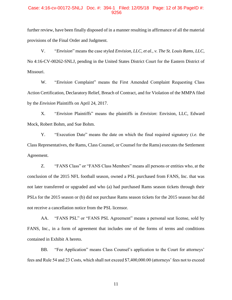## Case: 4:16-cv-00172-SNLJ Doc. #: 394-1 Filed: 12/05/18 Page: 12 of 36 PageID #: 9256

further review, have been finally disposed of in a manner resulting in affirmance of all the material provisions of the Final Order and Judgment.

V. "*Envision*" means the case styled *Envision, LLC, et al., v. The St. Louis Rams, LLC*, No 4:16-CV-00262-SNLJ, pending in the United States District Court for the Eastern District of Missouri.

W. "*Envision* Complaint" means the First Amended Complaint Requesting Class Action Certification, Declaratory Relief, Breach of Contract, and for Violation of the MMPA filed by the *Envision* Plaintiffs on April 24, 2017.

X. "*Envision* Plaintiffs" means the plaintiffs in *Envision*: Envision, LLC, Edward Mock, Robert Bohm, and Sue Bohm.

Y. "Execution Date" means the date on which the final required signatory (*i.e.* the Class Representatives, the Rams, Class Counsel, or Counsel for the Rams) executes the Settlement Agreement.

Z. "FANS Class" or "FANS Class Members" means all persons or entities who, at the conclusion of the 2015 NFL football season, owned a PSL purchased from FANS, Inc. that was not later transferred or upgraded and who (a) had purchased Rams season tickets through their PSLs for the 2015 season or (b) did not purchase Rams season tickets for the 2015 season but did not receive a cancellation notice from the PSL licensor.

AA. "FANS PSL" or "FANS PSL Agreement" means a personal seat license, sold by FANS, Inc., in a form of agreement that includes one of the forms of terms and conditions contained in Exhibit A hereto.

BB. "Fee Application" means Class Counsel's application to the Court for attorneys' fees and Rule 54 and 23 Costs, which shall not exceed \$7,400,000.00 (attorneys' fees not to exceed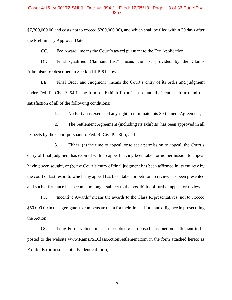#### Case: 4:16-cv-00172-SNLJ Doc. #: 394-1 Filed: 12/05/18 Page: 13 of 36 PageID #: 9257

\$7,200,000.00 and costs not to exceed \$200,000.00), and which shall be filed within 30 days after the Preliminary Approval Date.

CC. "Fee Award" means the Court's award pursuant to the Fee Application.

DD. "Final Qualified Claimant List" means the list provided by the Claims Administrator described in Section III.B.8 below.

EE. "Final Order and Judgment" means the Court's entry of its order and judgment under Fed. R. Civ. P. 54 in the form of Exhibit F (or in substantially identical form) and the satisfaction of all of the following conditions:

1. No Party has exercised any right to terminate this Settlement Agreement;

2. The Settlement Agreement (including its exhibits) has been approved in all respects by the Court pursuant to Fed. R. Civ. P. 23(e); and

3. Either: (a) the time to appeal, or to seek permission to appeal, the Court's entry of final judgment has expired with no appeal having been taken or no permission to appeal having been sought; or (b) the Court's entry of final judgment has been affirmed in its entirety by the court of last resort to which any appeal has been taken or petition to review has been presented and such affirmance has become no longer subject to the possibility of further appeal or review.

FF. "Incentive Awards" means the awards to the Class Representatives, not to exceed \$50,000.00 in the aggregate, to compensate them for their time, effort, and diligence in prosecuting the Action.

GG. "Long Form Notice" means the notice of proposed class action settlement to be posted to the website www.RamsPSLClassActionSettlement.com in the form attached hereto as Exhibit K (or in substantially identical form).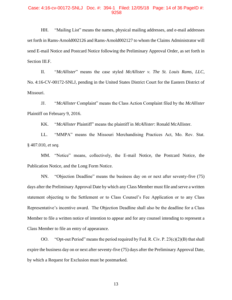#### Case: 4:16-cv-00172-SNLJ Doc. #: 394-1 Filed: 12/05/18 Page: 14 of 36 PageID #: 9258

HH. "Mailing List" means the names, physical mailing addresses, and e-mail addresses set forth in Rams-Arnold002126 and Rams-Arnold002127 to whom the Claims Administrator will send E-mail Notice and Postcard Notice following the Preliminary Approval Order, as set forth in Section III.F.

II. "*McAllister*" means the case styled *McAllister v. The St. Louis Rams, LLC*, No. 4:16-CV-00172-SNLJ, pending in the United States District Court for the Eastern District of Missouri.

JJ. "*McAllister* Complaint" means the Class Action Complaint filed by the *McAllister*  Plaintiff on February 9, 2016.

KK. "*McAllister* Plaintiff" means the plaintiff in *McAllister*: Ronald McAllister.

LL. "MMPA" means the Missouri Merchandising Practices Act, Mo. Rev. Stat. § 407.010, *et seq.*

MM. "Notice" means, collectively, the E-mail Notice, the Postcard Notice, the Publication Notice, and the Long Form Notice.

NN. "Objection Deadline" means the business day on or next after seventy-five (75) days after the Preliminary Approval Date by which any Class Member must file and serve a written statement objecting to the Settlement or to Class Counsel's Fee Application or to any Class Representative's incentive award. The Objection Deadline shall also be the deadline for a Class Member to file a written notice of intention to appear and for any counsel intending to represent a Class Member to file an entry of appearance.

OO. "Opt-out Period" means the period required by Fed. R. Civ. P. 23(c)(2)(B) that shall expire the business day on or next after seventy-five (75) days after the Preliminary Approval Date, by which a Request for Exclusion must be postmarked.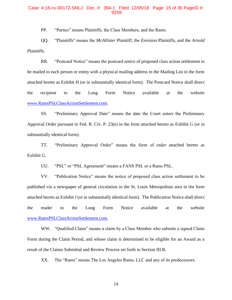## Case: 4:16-cv-00172-SNLJ Doc. #: 394-1 Filed: 12/05/18 Page: 15 of 36 PageID #: 9259

PP. "Parties" means Plaintiffs, the Class Members, and the Rams.

QQ. "Plaintiffs" means the *McAllister* Plaintiff, the *Envision* Plaintiffs, and the *Arnold*  Plaintiffs.

RR. "Postcard Notice" means the postcard notice of proposed class action settlement to be mailed to each person or entity with a physical mailing address in the Mailing List in the form attached hereto as Exhibit H (or in substantially identical form). The Postcard Notice shall direct the recipient to the Long Form Notice available at the website [www.RamsPSLClassActionSettlement.com.](http://www.ramspslclassactionsettlement.com/)

SS. "Preliminary Approval Date" means the date the Court enters the Preliminary Approval Order pursuant to Fed. R. Civ. P. 23(e) in the form attached hereto as Exhibit G (or in substantially identical form).

TT. "Preliminary Approval Order" means the form of order attached hereto as Exhibit G.

UU. "PSL" or "PSL Agreement" means a FANS PSL or a Rams PSL.

VV. "Publication Notice" means the notice of proposed class action settlement to be published via a newspaper of general circulation in the St. Louis Metropolitan area in the form attached hereto as Exhibit J (or in substantially identical form). The Publication Notice shall direct the reader to the Long Form Notice available at the website [www.RamsPSLClassActionSettlement.com.](http://www.ramspslclassactionsettlement.com/)

WW. "Qualified Claim" means a claim by a Class Member who submits a signed Claim Form during the Claim Period, and whose claim is determined to be eligible for an Award as a result of the Claims Submittal and Review Process set forth in Section III.B.

XX. The "Rams" means The Los Angeles Rams, LLC and any of its predecessors.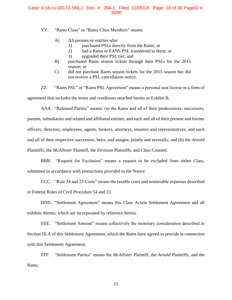## Case: 4:16-cv-00172-SNLJ Doc. #: 394-1 Filed: 12/05/18 Page: 16 of 36 PageID #: 9260

YY. "Rams Class" or "Rams Class Members" means:

- A) All persons or entities who:
	- 1) purchased PSLs directly from the Rams; or
	- 2) had a Rams or FANS PSL transferred to them; or
	- 3) upgraded their PSL tier; and
- B) purchased Rams season tickets through their PSLs for the 2015 season; or
- C) did not purchase Rams season tickets for the 2015 season but did not receive a PSL cancellation notice.

ZZ. "Rams PSL" or "Rams PSL Agreement" means a personal seat license in a form of agreement that includes the terms and conditions attached hereto as Exhibit B.

AAA. "Released Parties" means: (a) the Rams and all of their predecessors, successors, parents, subsidiaries and related and affiliated entities, and each and all of their present and former officers, directors, employees, agents, brokers, attorneys, insurers and representatives, and each and all of their respective successors, heirs, and assigns, jointly and severally; and (b) the *Arnold*  Plaintiffs, the *McAllister* Plaintiff, the *Envision* Plaintiffs, and Class Counsel.

BBB. "Request for Exclusion" means a request to be excluded from either Class, submitted in accordance with instructions provided in the Notice.

CCC. "Rule 54 and 23 Costs" means the taxable costs and nontaxable expenses described in Federal Rules of Civil Procedure 54 and 23.

DDD. "Settlement Agreement" means this Class Action Settlement Agreement and all exhibits thereto, which are incorporated by reference herein.

EEE. "Settlement Amount" means collectively the monetary consideration described in Section III.A of this Settlement Agreement, which the Rams have agreed to provide in connection with this Settlement Agreement.

FFF. "Settlement Parties" means the *McAllister* Plaintiff, the *Arnold* Plaintiffs, and the Rams.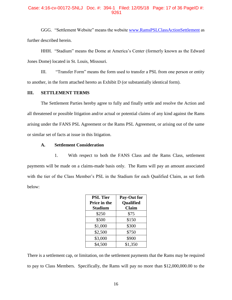## Case: 4:16-cv-00172-SNLJ Doc. #: 394-1 Filed: 12/05/18 Page: 17 of 36 PageID #: 9261

GGG. "Settlement Website" means the website [www.RamsPSLClassActionSettlement](http://www.ramspslclassactionsettlement/) as further described herein.

HHH. "Stadium" means the Dome at America's Center (formerly known as the Edward Jones Dome) located in St. Louis, Missouri.

III. "Transfer Form" means the form used to transfer a PSL from one person or entity to another, in the form attached hereto as Exhibit D (or substantially identical form).

## **III. SETTLEMENT TERMS**

The Settlement Parties hereby agree to fully and finally settle and resolve the Action and all threatened or possible litigation and/or actual or potential claims of any kind against the Rams arising under the FANS PSL Agreement or the Rams PSL Agreement, or arising out of the same or similar set of facts at issue in this litigation.

## **A. Settlement Consideration**

1. With respect to both the FANS Class and the Rams Class, settlement payments will be made on a claims-made basis only. The Rams will pay an amount associated with the tier of the Class Member's PSL in the Stadium for each Qualified Claim, as set forth below:

| <b>PSL Tier</b> | Pay-Out for      |  |
|-----------------|------------------|--|
| Price in the    | <b>Qualified</b> |  |
| <b>Stadium</b>  | <b>Claim</b>     |  |
| \$250           | \$75             |  |
| \$500           | \$150            |  |
| \$1,000         | \$300            |  |
| \$2,500         | \$750            |  |
| \$3,000         | \$900            |  |
| \$4,500         | \$1,350          |  |

There is a settlement cap, or limitation, on the settlement payments that the Rams may be required to pay to Class Members. Specifically, the Rams will pay no more than \$12,000,000.00 to the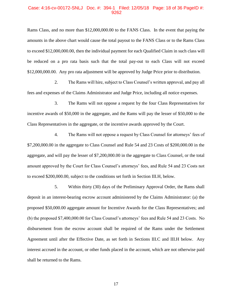#### Case: 4:16-cv-00172-SNLJ Doc. #: 394-1 Filed: 12/05/18 Page: 18 of 36 PageID #: 9262

Rams Class, and no more than \$12,000,000.00 to the FANS Class. In the event that paying the amounts in the above chart would cause the total payout to the FANS Class or to the Rams Class to exceed \$12,000,000.00, then the individual payment for each Qualified Claim in such class will be reduced on a pro rata basis such that the total pay-out to each Class will not exceed \$12,000,000.00. Any pro rata adjustment will be approved by Judge Price prior to distribution.

2. The Rams will hire, subject to Class Counsel's written approval, and pay all fees and expenses of the Claims Administrator and Judge Price, including all notice expenses.

3. The Rams will not oppose a request by the four Class Representatives for incentive awards of \$50,000 in the aggregate, and the Rams will pay the lesser of \$50,000 to the Class Representatives in the aggregate, or the incentive awards approved by the Court.

4. The Rams will not oppose a request by Class Counsel for attorneys' fees of \$7,200,000.00 in the aggregate to Class Counsel and Rule 54 and 23 Costs of \$200,000.00 in the aggregate, and will pay the lesser of \$7,200,000.00 in the aggregate to Class Counsel, or the total amount approved by the Court for Class Counsel's attorneys' fees, and Rule 54 and 23 Costs not to exceed \$200,000.00, subject to the conditions set forth in Section III.H, below.

5. Within thirty (30) days of the Preliminary Approval Order, the Rams shall deposit in an interest-bearing escrow account administered by the Claims Administrator: (a) the proposed \$50,000.00 aggregate amount for Incentive Awards for the Class Representatives; and (b) the proposed \$7,400,000.00 for Class Counsel's attorneys' fees and Rule 54 and 23 Costs. No disbursement from the escrow account shall be required of the Rams under the Settlement Agreement until after the Effective Date, as set forth in Sections III.C and III.H below. Any interest accrued in the account, or other funds placed in the account, which are not otherwise paid shall be returned to the Rams.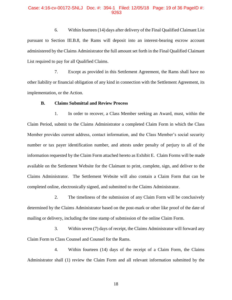#### Case: 4:16-cv-00172-SNLJ Doc. #: 394-1 Filed: 12/05/18 Page: 19 of 36 PageID #: 9263

6. Within fourteen (14) days after delivery of the Final Qualified Claimant List pursuant to Section III.B.8, the Rams will deposit into an interest-bearing escrow account administered by the Claims Administrator the full amount set forth in the Final Qualified Claimant List required to pay for all Qualified Claims.

7. Except as provided in this Settlement Agreement, the Rams shall have no other liability or financial obligation of any kind in connection with the Settlement Agreement, its implementation, or the Action.

#### **B. Claims Submittal and Review Process**

1. In order to recover, a Class Member seeking an Award, must, within the Claim Period, submit to the Claims Administrator a completed Claim Form in which the Class Member provides current address, contact information, and the Class Member's social security number or tax payer identification number, and attests under penalty of perjury to all of the information requested by the Claim Form attached hereto as Exhibit E. Claim Forms will be made available on the Settlement Website for the Claimant to print, complete, sign, and deliver to the Claims Administrator. The Settlement Website will also contain a Claim Form that can be completed online, electronically signed, and submitted to the Claims Administrator.

2. The timeliness of the submission of any Claim Form will be conclusively determined by the Claims Administrator based on the post-mark or other like proof of the date of mailing or delivery, including the time stamp of submission of the online Claim Form.

3. Within seven (7) days of receipt, the Claims Administrator will forward any Claim Form to Class Counsel and Counsel for the Rams.

4. Within fourteen (14) days of the receipt of a Claim Form, the Claims Administrator shall (1) review the Claim Form and all relevant information submitted by the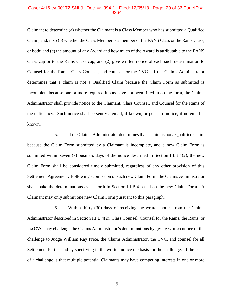## Case: 4:16-cv-00172-SNLJ Doc. #: 394-1 Filed: 12/05/18 Page: 20 of 36 PageID #: 9264

Claimant to determine (a) whether the Claimant is a Class Member who has submitted a Qualified Claim, and, if so (b) whether the Class Member is a member of the FANS Class or the Rams Class, or both; and (c) the amount of any Award and how much of the Award is attributable to the FANS Class cap or to the Rams Class cap; and (2) give written notice of each such determination to Counsel for the Rams, Class Counsel, and counsel for the CVC. If the Claims Administrator determines that a claim is not a Qualified Claim because the Claim Form as submitted is incomplete because one or more required inputs have not been filled in on the form, the Claims Administrator shall provide notice to the Claimant, Class Counsel, and Counsel for the Rams of the deficiency. Such notice shall be sent via email, if known, or postcard notice, if no email is known.

5. If the Claims Administrator determines that a claim is not a Qualified Claim because the Claim Form submitted by a Claimant is incomplete, and a new Claim Form is submitted within seven (7) business days of the notice described in Section III.B.4(2), the new Claim Form shall be considered timely submitted, regardless of any other provision of this Settlement Agreement. Following submission of such new Claim Form, the Claims Administrator shall make the determinations as set forth in Section III.B.4 based on the new Claim Form. A Claimant may only submit one new Claim Form pursuant to this paragraph.

6. Within thirty (30) days of receiving the written notice from the Claims Administrator described in Section III.B.4(2), Class Counsel, Counsel for the Rams, the Rams, or the CVC may challenge the Claims Administrator's determinations by giving written notice of the challenge to Judge William Ray Price, the Claims Administrator, the CVC, and counsel for all Settlement Parties and by specifying in the written notice the basis for the challenge. If the basis of a challenge is that multiple potential Claimants may have competing interests in one or more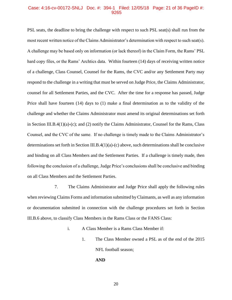## Case: 4:16-cv-00172-SNLJ Doc. #: 394-1 Filed: 12/05/18 Page: 21 of 36 PageID #: 9265

PSL seats, the deadline to bring the challenge with respect to such PSL seat(s) shall run from the most recent written notice of the Claims Administrator's determination with respect to such seat(s). A challenge may be based only on information (or lack thereof) in the Claim Form, the Rams' PSL hard copy files, or the Rams' Archtics data. Within fourteen (14) days of receiving written notice of a challenge, Class Counsel, Counsel for the Rams, the CVC and/or any Settlement Party may respond to the challenge in a writing that must be served on Judge Price, the Claims Administrator, counsel for all Settlement Parties, and the CVC. After the time for a response has passed, Judge Price shall have fourteen (14) days to (1) make a final determination as to the validity of the challenge and whether the Claims Administrator must amend its original determinations set forth in Section III.B.4(1)(a)-(c); and (2) notify the Claims Administrator, Counsel for the Rams, Class Counsel, and the CVC of the same. If no challenge is timely made to the Claims Administrator's determinations set forth in Section III.B.4(1)(a)-(c) above, such determinations shall be conclusive and binding on all Class Members and the Settlement Parties. If a challenge is timely made, then following the conclusion of a challenge, Judge Price's conclusions shall be conclusive and binding on all Class Members and the Settlement Parties.

7. The Claims Administrator and Judge Price shall apply the following rules when reviewing Claims Forms and information submitted by Claimants, as well as any information or documentation submitted in connection with the challenge procedures set forth in Section III.B.6 above, to classify Class Members in the Rams Class or the FANS Class:

- i. A Class Member is a Rams Class Member if:
	- 1. The Class Member owned a PSL as of the end of the 2015 NFL football season;

#### **AND**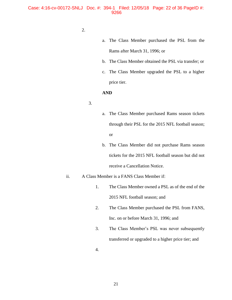#### Case: 4:16-cv-00172-SNLJ Doc. #: 394-1 Filed: 12/05/18 Page: 22 of 36 PageID #: 9266

- 2.
- a. The Class Member purchased the PSL from the Rams after March 31, 1996; or
- b. The Class Member obtained the PSL via transfer; or
- c. The Class Member upgraded the PSL to a higher price tier.

## **AND**

- 3.
- a. The Class Member purchased Rams season tickets through their PSL for the 2015 NFL football season; or
- b. The Class Member did not purchase Rams season tickets for the 2015 NFL football season but did not receive a Cancellation Notice.

## ii. A Class Member is a FANS Class Member if:

- 1. The Class Member owned a PSL as of the end of the 2015 NFL football season; and
- 2. The Class Member purchased the PSL from FANS, Inc. on or before March 31, 1996; and
- 3. The Class Member's PSL was never subsequently transferred or upgraded to a higher price tier; and
- 4.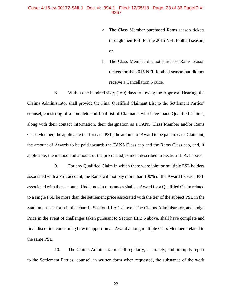#### Case: 4:16-cv-00172-SNLJ Doc. #: 394-1 Filed: 12/05/18 Page: 23 of 36 PageID #: 9267

- a. The Class Member purchased Rams season tickets through their PSL for the 2015 NFL football season; or
- b. The Class Member did not purchase Rams season tickets for the 2015 NFL football season but did not receive a Cancellation Notice.

8. Within one hundred sixty (160) days following the Approval Hearing, the Claims Administrator shall provide the Final Qualified Claimant List to the Settlement Parties' counsel, consisting of a complete and final list of Claimants who have made Qualified Claims, along with their contact information, their designation as a FANS Class Member and/or Rams Class Member, the applicable tier for each PSL, the amount of Award to be paid to each Claimant, the amount of Awards to be paid towards the FANS Class cap and the Rams Class cap, and, if applicable, the method and amount of the pro rata adjustment described in Section III.A.1 above.

9. For any Qualified Claim in which there were joint or multiple PSL holders associated with a PSL account, the Rams will not pay more than 100% of the Award for each PSL associated with that account. Under no circumstances shall an Award for a Qualified Claim related to a single PSL be more than the settlement price associated with the tier of the subject PSL in the Stadium, as set forth in the chart in Section III.A.1 above. The Claims Administrator, and Judge Price in the event of challenges taken pursuant to Section III.B.6 above, shall have complete and final discretion concerning how to apportion an Award among multiple Class Members related to the same PSL.

10. The Claims Administrator shall regularly, accurately, and promptly report to the Settlement Parties' counsel, in written form when requested, the substance of the work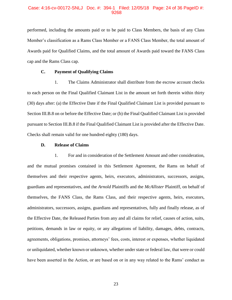## Case: 4:16-cv-00172-SNLJ Doc. #: 394-1 Filed: 12/05/18 Page: 24 of 36 PageID #: 9268

performed, including the amounts paid or to be paid to Class Members, the basis of any Class Member's classification as a Rams Class Member or a FANS Class Member, the total amount of Awards paid for Qualified Claims, and the total amount of Awards paid toward the FANS Class cap and the Rams Class cap.

## **C. Payment of Qualifying Claims**

1. The Claims Administrator shall distribute from the escrow account checks to each person on the Final Qualified Claimant List in the amount set forth therein within thirty (30) days after: (a) the Effective Date if the Final Qualified Claimant List is provided pursuant to Section III.B.8 on or before the Effective Date; or (b) the Final Qualified Claimant List is provided pursuant to Section III.B.8 if the Final Qualified Claimant List is provided after the Effective Date. Checks shall remain valid for one hundred eighty (180) days.

#### **D. Release of Claims**

1. For and in consideration of the Settlement Amount and other consideration, and the mutual promises contained in this Settlement Agreement, the Rams on behalf of themselves and their respective agents, heirs, executors, administrators, successors, assigns, guardians and representatives, and the *Arnold* Plaintiffs and the *McAllister* Plaintiff, on behalf of themselves, the FANS Class, the Rams Class, and their respective agents, heirs, executors, administrators, successors, assigns, guardians and representatives, fully and finally release, as of the Effective Date, the Released Parties from any and all claims for relief, causes of action, suits, petitions, demands in law or equity, or any allegations of liability, damages, debts, contracts, agreements, obligations, promises, attorneys' fees, costs, interest or expenses, whether liquidated or unliquidated, whether known or unknown, whether under state or federal law, that were or could have been asserted in the Action, or are based on or in any way related to the Rams' conduct as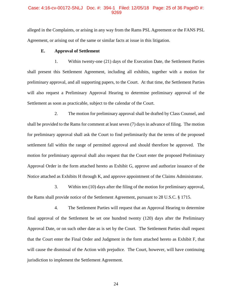## Case: 4:16-cv-00172-SNLJ Doc. #: 394-1 Filed: 12/05/18 Page: 25 of 36 PageID #: 9269

alleged in the Complaints, or arising in any way from the Rams PSL Agreement or the FANS PSL Agreement, or arising out of the same or similar facts at issue in this litigation.

#### **E. Approval of Settlement**

1. Within twenty-one (21) days of the Execution Date, the Settlement Parties shall present this Settlement Agreement, including all exhibits, together with a motion for preliminary approval, and all supporting papers, to the Court. At that time, the Settlement Parties will also request a Preliminary Approval Hearing to determine preliminary approval of the Settlement as soon as practicable, subject to the calendar of the Court.

2. The motion for preliminary approval shall be drafted by Class Counsel, and shall be provided to the Rams for comment at least seven (7) days in advance of filing. The motion for preliminary approval shall ask the Court to find preliminarily that the terms of the proposed settlement fall within the range of permitted approval and should therefore be approved. The motion for preliminary approval shall also request that the Court enter the proposed Preliminary Approval Order in the form attached hereto as Exhibit G, approve and authorize issuance of the Notice attached as Exhibits H through K, and approve appointment of the Claims Administrator.

3. Within ten (10) days after the filing of the motion for preliminary approval, the Rams shall provide notice of the Settlement Agreement, pursuant to 28 U.S.C. § 1715.

4. The Settlement Parties will request that an Approval Hearing to determine final approval of the Settlement be set one hundred twenty (120) days after the Preliminary Approval Date, or on such other date as is set by the Court. The Settlement Parties shall request that the Court enter the Final Order and Judgment in the form attached hereto as Exhibit F, that will cause the dismissal of the Action with prejudice. The Court, however, will have continuing jurisdiction to implement the Settlement Agreement.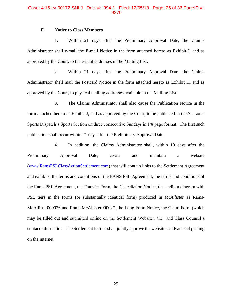#### Case: 4:16-cv-00172-SNLJ Doc. #: 394-1 Filed: 12/05/18 Page: 26 of 36 PageID #: 9270

## **F. Notice to Class Members**

1. Within 21 days after the Preliminary Approval Date, the Claims Administrator shall e-mail the E-mail Notice in the form attached hereto as Exhibit I, and as approved by the Court, to the e-mail addresses in the Mailing List.

2. Within 21 days after the Preliminary Approval Date, the Claims Administrator shall mail the Postcard Notice in the form attached hereto as Exhibit H, and as approved by the Court, to physical mailing addresses available in the Mailing List.

3. The Claims Administrator shall also cause the Publication Notice in the form attached hereto as Exhibit J, and as approved by the Court, to be published in the St. Louis Sports Dispatch's Sports Section on three consecutive Sundays in 1/8 page format. The first such publication shall occur within 21 days after the Preliminary Approval Date.

4. In addition, the Claims Administrator shall, within 10 days after the Preliminary Approval Date, create and maintain a website [\(www.RamsPSLClassActionSettlement.com\)](http://www.ramspslclassactionsettlement.com/) that will contain links to the Settlement Agreement and exhibits, the terms and conditions of the FANS PSL Agreement, the terms and conditions of the Rams PSL Agreement, the Transfer Form, the Cancellation Notice, the stadium diagram with PSL tiers in the forms (or substantially identical form) produced in *McAllister* as Rams-McAllister000026 and Rams-McAllister000027, the Long Form Notice, the Claim Form (which may be filled out and submitted online on the Settlement Website), the and Class Counsel's contact information. The Settlement Parties shall jointly approve the website in advance of posting on the internet.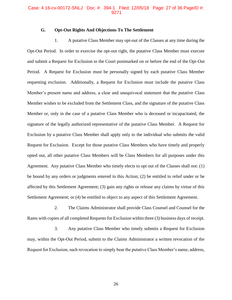#### Case: 4:16-cv-00172-SNLJ Doc. #: 394-1 Filed: 12/05/18 Page: 27 of 36 PageID #: 9271

## **G. Opt-Out Rights And Objections To The Settlement**

1. A putative Class Member may opt-out of the Classes at any time during the Opt-Out Period. In order to exercise the opt-out right, the putative Class Member must execute and submit a Request for Exclusion to the Court postmarked on or before the end of the Opt-Out Period. A Request for Exclusion must be personally signed by each putative Class Member requesting exclusion. Additionally, a Request for Exclusion must include the putative Class Member's present name and address, a clear and unequivocal statement that the putative Class Member wishes to be excluded from the Settlement Class, and the signature of the putative Class Member or, only in the case of a putative Class Member who is deceased or incapacitated, the signature of the legally authorized representative of the putative Class Member. A Request for Exclusion by a putative Class Member shall apply only to the individual who submits the valid Request for Exclusion. Except for those putative Class Members who have timely and properly opted out, all other putative Class Members will be Class Members for all purposes under this Agreement. Any putative Class Member who timely elects to opt out of the Classes shall not: (1) be bound by any orders or judgments entered in this Action; (2) be entitled to relief under or be affected by this Settlement Agreement; (3) gain any rights or release any claims by virtue of this Settlement Agreement; or (4) be entitled to object to any aspect of this Settlement Agreement.

2. The Claims Administrator shall provide Class Counsel and Counsel for the Rams with copies of all completed Requests for Exclusion within three (3) business days of receipt.

3. Any putative Class Member who timely submits a Request for Exclusion may, within the Opt-Out Period, submit to the Claims Administrator a written revocation of the Request for Exclusion, such revocation to simply bear the putative Class Member's name, address,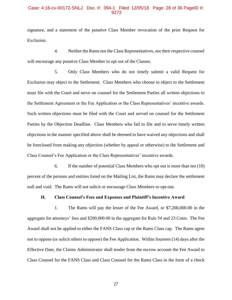## Case: 4:16-cv-00172-SNLJ Doc. #: 394-1 Filed: 12/05/18 Page: 28 of 36 PageID #: 9272

signature, and a statement of the putative Class Member revocation of the prior Request for Exclusion.

4. Neither the Rams nor the Class Representatives, nor their respective counsel will encourage any putative Class Member to opt out of the Classes.

5. Only Class Members who do not timely submit a valid Request for Exclusion may object to the Settlement. Class Members who choose to object to the Settlement must file with the Court and serve on counsel for the Settlement Parties all written objections to the Settlement Agreement or the Fee Application or the Class Representatives' incentive awards. Such written objections must be filed with the Court and served on counsel for the Settlement Parties by the Objection Deadline. Class Members who fail to file and to serve timely written objections in the manner specified above shall be deemed to have waived any objections and shall be foreclosed from making any objection (whether by appeal or otherwise) to the Settlement and Class Counsel's Fee Application or the Class Representatives' incentive awards.

6. If the number of potential Class Members who opt out is more than ten (10) percent of the persons and entities listed on the Mailing List, the Rams may declare the settlement null and void. The Rams will not solicit or encourage Class Members to opt-out.

#### **H. Class Counsel's Fees and Expenses and Plaintiff's Incentive Award**

1. The Rams will pay the lesser of the Fee Award, or \$7,200,000.00 in the aggregate for attorneys' fees and \$200,000.00 in the aggregate for Rule 54 and 23 Costs. The Fee Award shall not be applied to either the FANS Class cap or the Rams Class cap. The Rams agree not to oppose (or solicit others to oppose) the Fee Application. Within fourteen (14) days after the Effective Date, the Claims Administrator shall tender from the escrow account the Fee Award to Class Counsel for the FANS Class and Class Counsel for the Rams Class in the form of a check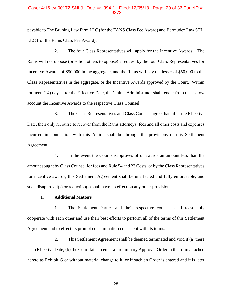## Case: 4:16-cv-00172-SNLJ Doc. #: 394-1 Filed: 12/05/18 Page: 29 of 36 PageID #: 9273

payable to The Bruning Law Firm LLC (for the FANS Class Fee Award) and Bermudez Law STL, LLC (for the Rams Class Fee Award).

2. The four Class Representatives will apply for the Incentive Awards. The Rams will not oppose (or solicit others to oppose) a request by the four Class Representatives for Incentive Awards of \$50,000 in the aggregate, and the Rams will pay the lesser of \$50,000 to the Class Representatives in the aggregate, or the Incentive Awards approved by the Court. Within fourteen (14) days after the Effective Date, the Claims Administrator shall tender from the escrow account the Incentive Awards to the respective Class Counsel.

3. The Class Representatives and Class Counsel agree that, after the Effective Date, their only recourse to recover from the Rams attorneys' fees and all other costs and expenses incurred in connection with this Action shall be through the provisions of this Settlement Agreement.

4. In the event the Court disapproves of or awards an amount less than the amount sought by Class Counsel for fees and Rule 54 and 23 Costs, or by the Class Representatives for incentive awards, this Settlement Agreement shall be unaffected and fully enforceable, and such disapproval(s) or reduction(s) shall have no effect on any other provision.

#### **I. Additional Matters**

1. The Settlement Parties and their respective counsel shall reasonably cooperate with each other and use their best efforts to perform all of the terms of this Settlement Agreement and to effect its prompt consummation consistent with its terms.

2. This Settlement Agreement shall be deemed terminated and void if (a) there is no Effective Date; (b) the Court fails to enter a Preliminary Approval Order in the form attached hereto as Exhibit G or without material change to it, or if such an Order is entered and it is later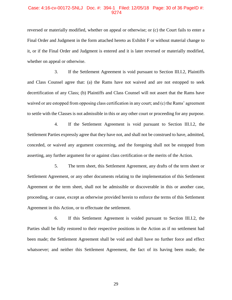## Case: 4:16-cv-00172-SNLJ Doc. #: 394-1 Filed: 12/05/18 Page: 30 of 36 PageID #: 9274

reversed or materially modified, whether on appeal or otherwise; or (c) the Court fails to enter a Final Order and Judgment in the form attached hereto as Exhibit F or without material change to it, or if the Final Order and Judgment is entered and it is later reversed or materially modified, whether on appeal or otherwise.

3. If the Settlement Agreement is void pursuant to Section III.I.2, Plaintiffs and Class Counsel agree that: (a) the Rams have not waived and are not estopped to seek decertification of any Class; (b) Plaintiffs and Class Counsel will not assert that the Rams have waived or are estopped from opposing class certification in any court; and (c) the Rams' agreement to settle with the Classes is not admissible in this or any other court or proceeding for any purpose.

4. If the Settlement Agreement is void pursuant to Section III.I.2, the Settlement Parties expressly agree that they have not, and shall not be construed to have, admitted, conceded, or waived any argument concerning, and the foregoing shall not be estopped from asserting, any further argument for or against class certification or the merits of the Action.

5. The term sheet, this Settlement Agreement, any drafts of the term sheet or Settlement Agreement, or any other documents relating to the implementation of this Settlement Agreement or the term sheet, shall not be admissible or discoverable in this or another case, proceeding, or cause, except as otherwise provided herein to enforce the terms of this Settlement Agreement in this Action, or to effectuate the settlement.

6. If this Settlement Agreement is voided pursuant to Section III.I.2, the Parties shall be fully restored to their respective positions in the Action as if no settlement had been made; the Settlement Agreement shall be void and shall have no further force and effect whatsoever; and neither this Settlement Agreement, the fact of its having been made, the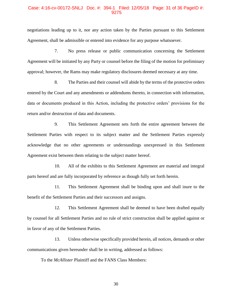## Case: 4:16-cv-00172-SNLJ Doc. #: 394-1 Filed: 12/05/18 Page: 31 of 36 PageID #: 9275

negotiations leading up to it, nor any action taken by the Parties pursuant to this Settlement Agreement, shall be admissible or entered into evidence for any purpose whatsoever.

7. No press release or public communication concerning the Settlement Agreement will be initiated by any Party or counsel before the filing of the motion for preliminary approval; however, the Rams may make regulatory disclosures deemed necessary at any time.

8. The Parties and their counsel will abide by the terms of the protective orders entered by the Court and any amendments or addendums thereto, in connection with information, data or documents produced in this Action, including the protective orders' provisions for the return and/or destruction of data and documents.

9. This Settlement Agreement sets forth the entire agreement between the Settlement Parties with respect to its subject matter and the Settlement Parties expressly acknowledge that no other agreements or understandings unexpressed in this Settlement Agreement exist between them relating to the subject matter hereof.

10. All of the exhibits to this Settlement Agreement are material and integral parts hereof and are fully incorporated by reference as though fully set forth herein.

11. This Settlement Agreement shall be binding upon and shall inure to the benefit of the Settlement Parties and their successors and assigns.

12. This Settlement Agreement shall be deemed to have been drafted equally by counsel for all Settlement Parties and no rule of strict construction shall be applied against or in favor of any of the Settlement Parties.

13. Unless otherwise specifically provided herein, all notices, demands or other communications given hereunder shall be in writing, addressed as follows:

To the *McAllister* Plaintiff and the FANS Class Members: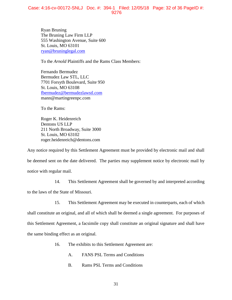## Case: 4:16-cv-00172-SNLJ Doc. #: 394-1 Filed: 12/05/18 Page: 32 of 36 PageID #: 9276

Ryan Bruning The Bruning Law Firm LLP 555 Washington Avenue, Suite 600 St. Louis, MO 63101 [ryan@bruninglegal.com](mailto:ryan@bruninglegal.com)

To the *Arnold* Plaintiffs and the Rams Class Members:

Fernando Bermudez Bermudez Law STL, LLC 7701 Forsyth Boulevard, Suite 950 St. Louis, MO 63108 [fbermudez@bermudezlawstl.com](mailto:fbermudez@bermudezlawstl.com) mann@martingreenpc.com

To the Rams:

Roger K. Heidenreich Dentons US LLP 211 North Broadway, Suite 3000 St. Louis, MO 63102 roger.heidenreich@dentons.com

Any notice required by this Settlement Agreement must be provided by electronic mail and shall be deemed sent on the date delivered. The parties may supplement notice by electronic mail by notice with regular mail.

14. This Settlement Agreement shall be governed by and interpreted according

to the laws of the State of Missouri.

15. This Settlement Agreement may be executed in counterparts, each of which

shall constitute an original, and all of which shall be deemed a single agreement. For purposes of this Settlement Agreement, a facsimile copy shall constitute an original signature and shall have the same binding effect as an original.

- 16. The exhibits to this Settlement Agreement are:
	- A. FANS PSL Terms and Conditions
	- B. Rams PSL Terms and Conditions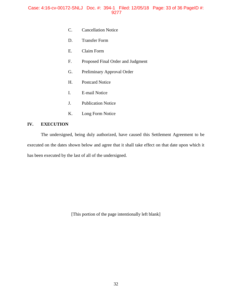- C. Cancellation Notice
- D. Transfer Form
- E. Claim Form
- F. Proposed Final Order and Judgment
- G. Preliminary Approval Order
- H. Postcard Notice
- I. E-mail Notice
- J. Publication Notice
- K. Long Form Notice

# **IV. EXECUTION**

The undersigned, being duly authorized, have caused this Settlement Agreement to be executed on the dates shown below and agree that it shall take effect on that date upon which it has been executed by the last of all of the undersigned.

[This portion of the page intentionally left blank]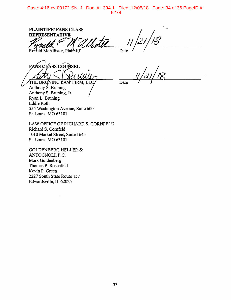Case: 4:16-cv-00172-SNLJ Doc. #: 394-1 Filed: 12/05/18 Page: 34 of 36 PageID #: 9278

**PLAINTIFF/FANS CLASS REPRESENTATIVE** 

Ronald McAllister, Plaintiff

 $\overline{Date}$ 

FANS CLASS COUNSEL THE BRUNING LAW FIRM, LLC

Date

Anthony  $\angle$ . Bruning Anthony S. Bruning, Jr. Ryan L. Bruning **Eddie Roth** 555 Washington Avenue, Suite 600 St. Louis, MO 63101

LAW OFFICE OF RICHARD S. CORNFELD Richard S. Cornfeld 1010 Market Street, Suite 1645 St. Louis, MO 63101

**GOLDENBERG HELLER &** ANTOGNOLI, P.C. Mark Goldenberg Thomas P. Rosenfeld Kevin P. Green 2227 South State Route 157 Edwardsville, IL 62025

 $\ddot{\phantom{a}}$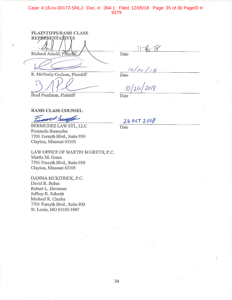## Case: 4:16-cv-00172-SNLJ Doc. #: 394-1 Filed: 12/05/18 Page: 35 of 36 PageID #: 9279

PLAINTIFFS/RAMS CLASS **REPRESENTATIVES** Richard Arnold, Plainthff

Date

 $6 - 18$ 

Date

 $0/2c$  /18<br>| $2b/2018$ 

Date

Brad Pearlman, Plaintiff

 $\tilde{\mathbb{S}}$ 

**RAMS CLASS COUNSEL** 

R. McNeely Cochran, Plaintiff

with begge

BERMUDEZ LAW STL, LLC Fernando Bermudez 7701 Forsyth Blvd., Suite 950 Clayton, Missouri 63105

LAW OFFICE OF MARTIN M GREEN, P.C. Martin M. Green 7701 Forsyth Blvd., Suite 950 Clayton, Missouri 63105

DANNA MCKITRICK, P.C. David R. Bohin Robert L. Devereux Jeffrey R. Schmitt Michael R. Cherba 7701 Forsyth Blvd., Suite 800 St. Louis, MO 63105-3907

 $260CT2018$ 

Date